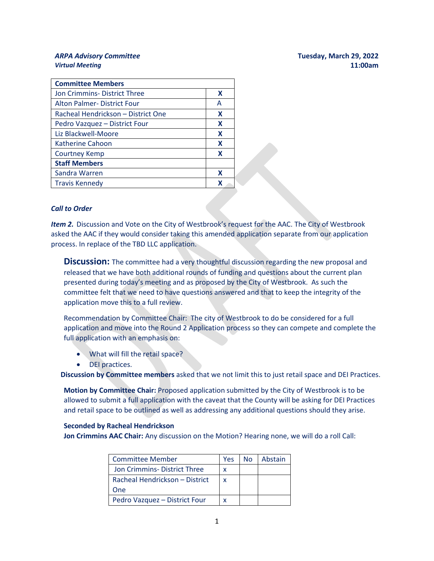## *ARPA Advisory Committee* **Tuesday, March 29, 2022**

| <b>Virtual Meeting</b>       | 11:00am                          |
|------------------------------|----------------------------------|
|                              |                                  |
| ANTA AUVISUI Y CUITIIIIILLEE | <b>TUCSUAY, IVIALUI 43, ZUZZ</b> |

| <b>Committee Members</b>           |   |
|------------------------------------|---|
| Jon Crimmins-District Three        | X |
| <b>Alton Palmer-District Four</b>  | A |
| Racheal Hendrickson - District One | X |
| Pedro Vazquez - District Four      | X |
| Liz Blackwell-Moore                | X |
| <b>Katherine Cahoon</b>            | X |
| <b>Courtney Kemp</b>               | X |
| <b>Staff Members</b>               |   |
| Sandra Warren                      | x |
| <b>Travis Kennedy</b>              | X |

## *Call to Order*

*Item 2.* Discussion and Vote on the City of Westbrook's request for the AAC. The City of Westbrook asked the AAC if they would consider taking this amended application separate from our application process. In replace of the TBD LLC application.

**Discussion:** The committee had a very thoughtful discussion regarding the new proposal and released that we have both additional rounds of funding and questions about the current plan presented during today's meeting and as proposed by the City of Westbrook. As such the committee felt that we need to have questions answered and that to keep the integrity of the application move this to a full review.

Recommendation by Committee Chair: The city of Westbrook to do be considered for a full application and move into the Round 2 Application process so they can compete and complete the full application with an emphasis on:

- What will fill the retail space?
- DEI practices.

**Discussion by Committee members** asked that we not limit this to just retail space and DEI Practices.

**Motion by Committee Chair:** Proposed application submitted by the City of Westbrook is to be allowed to submit a full application with the caveat that the County will be asking for DEI Practices and retail space to be outlined as well as addressing any additional questions should they arise.

## **Seconded by Racheal Hendrickson**

**Jon Crimmins AAC Chair:** Any discussion on the Motion? Hearing none, we will do a roll Call:

| <b>Committee Member</b>        | Yes | No. | Abstain |
|--------------------------------|-----|-----|---------|
| Jon Crimmins-District Three    | x   |     |         |
| Racheal Hendrickson - District | X   |     |         |
| One                            |     |     |         |
| Pedro Vazquez - District Four  | x   |     |         |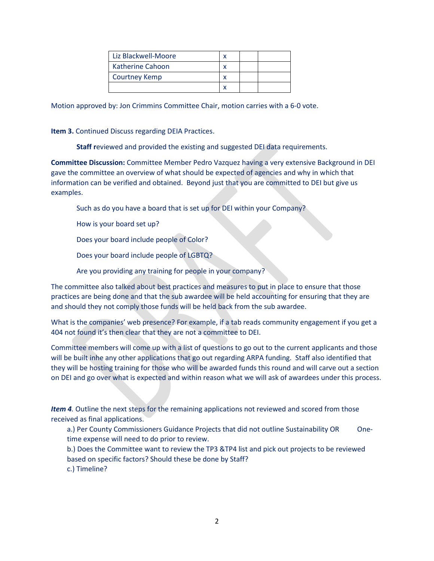| Liz Blackwell-Moore     |  |  |
|-------------------------|--|--|
| <b>Katherine Cahoon</b> |  |  |
| <b>Courtney Kemp</b>    |  |  |
|                         |  |  |

Motion approved by: Jon Crimmins Committee Chair, motion carries with a 6-0 vote.

**Item 3.** Continued Discuss regarding DEIA Practices.

**Staff r**eviewed and provided the existing and suggested DEI data requirements.

**Committee Discussion:** Committee Member Pedro Vazquez having a very extensive Background in DEI gave the committee an overview of what should be expected of agencies and why in which that information can be verified and obtained. Beyond just that you are committed to DEI but give us examples.

Such as do you have a board that is set up for DEI within your Company?

How is your board set up?

Does your board include people of Color?

Does your board include people of LGBTQ?

Are you providing any training for people in your company?

The committee also talked about best practices and measures to put in place to ensure that those practices are being done and that the sub awardee will be held accounting for ensuring that they are and should they not comply those funds will be held back from the sub awardee.

What is the companies' web presence? For example, if a tab reads community engagement if you get a 404 not found it's then clear that they are not a committee to DEI.

Committee members will come up with a list of questions to go out to the current applicants and those will be built inhe any other applications that go out regarding ARPA funding. Staff also identified that they will be hosting training for those who will be awarded funds this round and will carve out a section on DEI and go over what is expected and within reason what we will ask of awardees under this process.

*Item 4.* Outline the next steps for the remaining applications not reviewed and scored from those received as final applications.

a.) Per County Commissioners Guidance Projects that did not outline Sustainability OR Onetime expense will need to do prior to review.

b.) Does the Committee want to review the TP3 &TP4 list and pick out projects to be reviewed based on specific factors? Should these be done by Staff?

c.) Timeline?